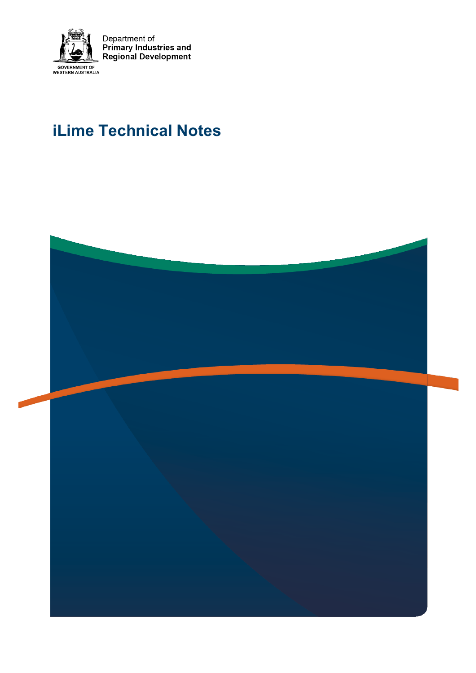

Department of<br>Primary Industries and<br>Regional Development

# **iLime Technical Notes**

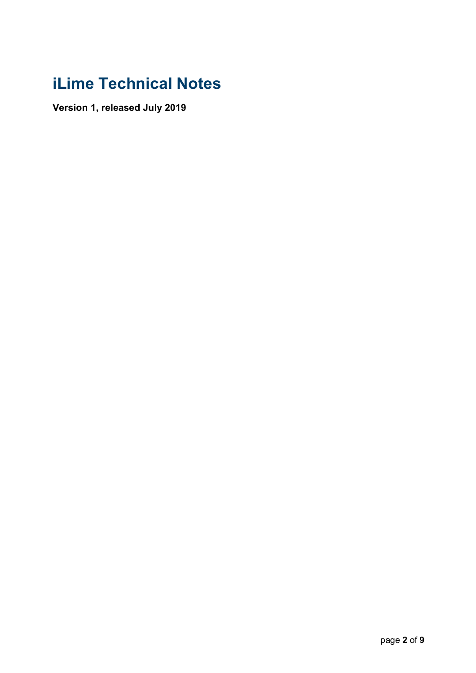# **iLime Technical Notes**

**Version 1, released July 2019**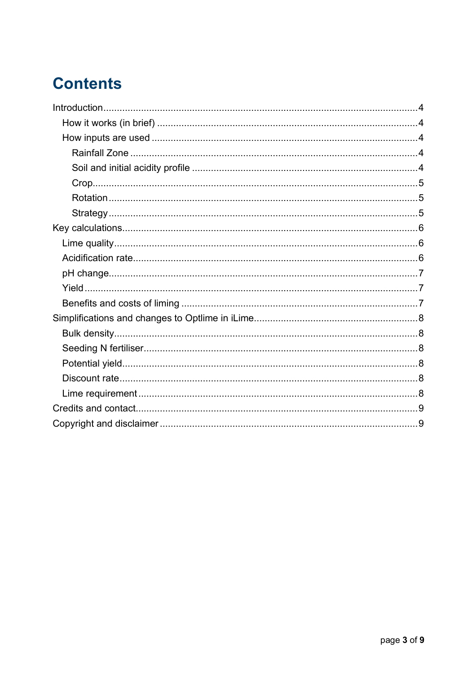# **Contents**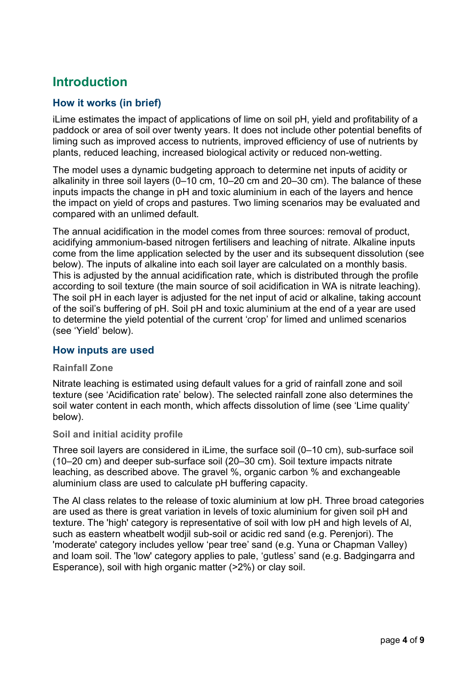# **Introduction**

# **How it works (in brief)**

iLime estimates the impact of applications of lime on soil pH, yield and profitability of a paddock or area of soil over twenty years. It does not include other potential benefits of liming such as improved access to nutrients, improved efficiency of use of nutrients by plants, reduced leaching, increased biological activity or reduced non-wetting.

The model uses a dynamic budgeting approach to determine net inputs of acidity or alkalinity in three soil layers (0–10 cm, 10–20 cm and 20–30 cm). The balance of these inputs impacts the change in pH and toxic aluminium in each of the layers and hence the impact on yield of crops and pastures. Two liming scenarios may be evaluated and compared with an unlimed default.

The annual acidification in the model comes from three sources: removal of product, acidifying ammonium-based nitrogen fertilisers and leaching of nitrate. Alkaline inputs come from the lime application selected by the user and its subsequent dissolution (see below). The inputs of alkaline into each soil layer are calculated on a monthly basis. This is adjusted by the annual acidification rate, which is distributed through the profile according to soil texture (the main source of soil acidification in WA is nitrate leaching). The soil pH in each layer is adjusted for the net input of acid or alkaline, taking account of the soil's buffering of pH. Soil pH and toxic aluminium at the end of a year are used to determine the yield potential of the current 'crop' for limed and unlimed scenarios (see 'Yield' below).

#### **How inputs are used**

#### **Rainfall Zone**

Nitrate leaching is estimated using default values for a grid of rainfall zone and soil texture (see 'Acidification rate' below). The selected rainfall zone also determines the soil water content in each month, which affects dissolution of lime (see 'Lime quality' below).

#### **Soil and initial acidity profile**

Three soil layers are considered in iLime, the surface soil (0–10 cm), sub-surface soil (10–20 cm) and deeper sub-surface soil (20–30 cm). Soil texture impacts nitrate leaching, as described above. The gravel %, organic carbon % and exchangeable aluminium class are used to calculate pH buffering capacity.

The Al class relates to the release of toxic aluminium at low pH. Three broad categories are used as there is great variation in levels of toxic aluminium for given soil pH and texture. The 'high' category is representative of soil with low pH and high levels of Al, such as eastern wheatbelt wodjil sub-soil or acidic red sand (e.g. Perenjori). The 'moderate' category includes yellow 'pear tree' sand (e.g. Yuna or Chapman Valley) and loam soil. The 'low' category applies to pale, 'gutless' sand (e.g. Badgingarra and Esperance), soil with high organic matter (>2%) or clay soil.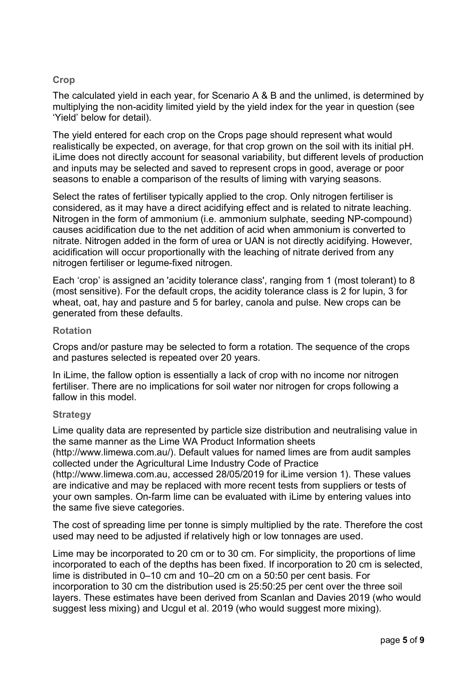### **Crop**

The calculated yield in each year, for Scenario A & B and the unlimed, is determined by multiplying the non-acidity limited yield by the yield index for the year in question (see 'Yield' below for detail).

The yield entered for each crop on the Crops page should represent what would realistically be expected, on average, for that crop grown on the soil with its initial pH. iLime does not directly account for seasonal variability, but different levels of production and inputs may be selected and saved to represent crops in good, average or poor seasons to enable a comparison of the results of liming with varying seasons.

Select the rates of fertiliser typically applied to the crop. Only nitrogen fertiliser is considered, as it may have a direct acidifying effect and is related to nitrate leaching. Nitrogen in the form of ammonium (i.e. ammonium sulphate, seeding NP-compound) causes acidification due to the net addition of acid when ammonium is converted to nitrate. Nitrogen added in the form of urea or UAN is not directly acidifying. However, acidification will occur proportionally with the leaching of nitrate derived from any nitrogen fertiliser or legume-fixed nitrogen.

Each 'crop' is assigned an 'acidity tolerance class', ranging from 1 (most tolerant) to 8 (most sensitive). For the default crops, the acidity tolerance class is 2 for lupin, 3 for wheat, oat, hay and pasture and 5 for barley, canola and pulse. New crops can be generated from these defaults.

#### **Rotation**

Crops and/or pasture may be selected to form a rotation. The sequence of the crops and pastures selected is repeated over 20 years.

In iLime, the fallow option is essentially a lack of crop with no income nor nitrogen fertiliser. There are no implications for soil water nor nitrogen for crops following a fallow in this model.

#### **Strategy**

Lime quality data are represented by particle size distribution and neutralising value in the same manner as the Lime WA Product Information sheets

(http://www.limewa.com.au/). Default values for named limes are from audit samples collected under the Agricultural Lime Industry Code of Practice

(http://www.limewa.com.au, accessed 28/05/2019 for iLime version 1). These values are indicative and may be replaced with more recent tests from suppliers or tests of your own samples. On-farm lime can be evaluated with iLime by entering values into the same five sieve categories.

The cost of spreading lime per tonne is simply multiplied by the rate. Therefore the cost used may need to be adjusted if relatively high or low tonnages are used.

Lime may be incorporated to 20 cm or to 30 cm. For simplicity, the proportions of lime incorporated to each of the depths has been fixed. If incorporation to 20 cm is selected, lime is distributed in 0–10 cm and 10–20 cm on a 50:50 per cent basis. For incorporation to 30 cm the distribution used is 25:50:25 per cent over the three soil layers. These estimates have been derived from Scanlan and Davies 2019 (who would suggest less mixing) and Ucgul et al. 2019 (who would suggest more mixing).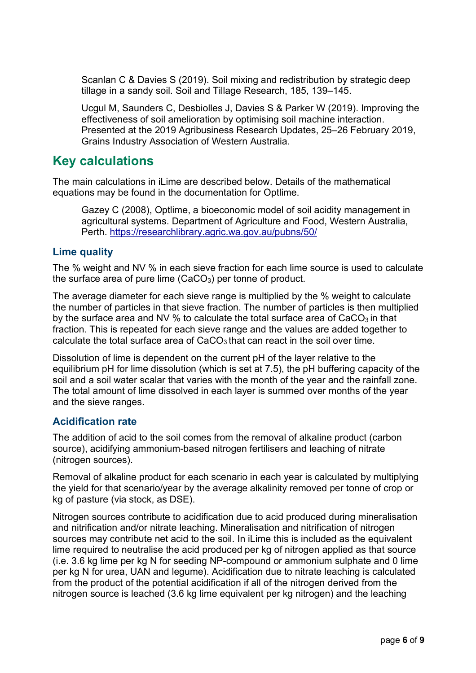Scanlan C & Davies S (2019). Soil mixing and redistribution by strategic deep tillage in a sandy soil. Soil and Tillage Research, 185, 139–145.

Ucgul M, Saunders C, Desbiolles J, Davies S & Parker W (2019). Improving the effectiveness of soil amelioration by optimising soil machine interaction. Presented at the 2019 Agribusiness Research Updates, 25–26 February 2019, Grains Industry Association of Western Australia.

# **Key calculations**

The main calculations in iLime are described below. Details of the mathematical equations may be found in the documentation for Optlime.

Gazey C (2008), Optlime, a bioeconomic model of soil acidity management in agricultural systems. Department of Agriculture and Food, Western Australia, Perth. https://researchlibrary.agric.wa.gov.au/pubns/50/

## **Lime quality**

The % weight and NV % in each sieve fraction for each lime source is used to calculate the surface area of pure lime  $(CaCO<sub>3</sub>)$  per tonne of product.

The average diameter for each sieve range is multiplied by the % weight to calculate the number of particles in that sieve fraction. The number of particles is then multiplied by the surface area and NV  $%$  to calculate the total surface area of CaCO<sub>3</sub> in that fraction. This is repeated for each sieve range and the values are added together to calculate the total surface area of  $CaCO<sub>3</sub>$  that can react in the soil over time.

Dissolution of lime is dependent on the current pH of the layer relative to the equilibrium pH for lime dissolution (which is set at 7.5), the pH buffering capacity of the soil and a soil water scalar that varies with the month of the year and the rainfall zone. The total amount of lime dissolved in each layer is summed over months of the year and the sieve ranges.

# **Acidification rate**

The addition of acid to the soil comes from the removal of alkaline product (carbon source), acidifying ammonium-based nitrogen fertilisers and leaching of nitrate (nitrogen sources).

Removal of alkaline product for each scenario in each year is calculated by multiplying the yield for that scenario/year by the average alkalinity removed per tonne of crop or kg of pasture (via stock, as DSE).

Nitrogen sources contribute to acidification due to acid produced during mineralisation and nitrification and/or nitrate leaching. Mineralisation and nitrification of nitrogen sources may contribute net acid to the soil. In iLime this is included as the equivalent lime required to neutralise the acid produced per kg of nitrogen applied as that source (i.e. 3.6 kg lime per kg N for seeding NP-compound or ammonium sulphate and 0 lime per kg N for urea, UAN and legume). Acidification due to nitrate leaching is calculated from the product of the potential acidification if all of the nitrogen derived from the nitrogen source is leached (3.6 kg lime equivalent per kg nitrogen) and the leaching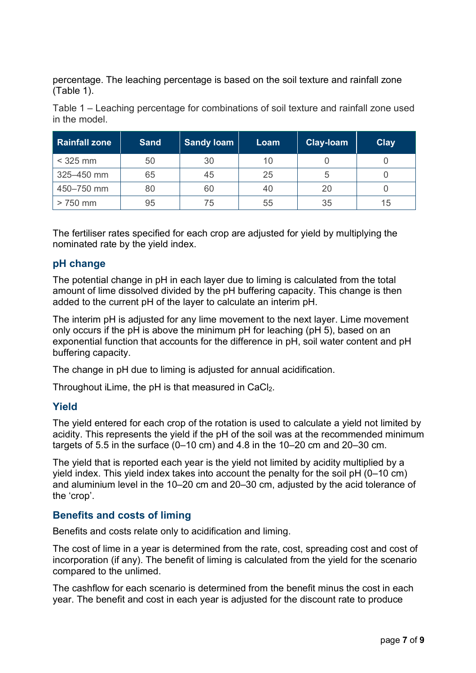percentage. The leaching percentage is based on the soil texture and rainfall zone (Table 1).

Table 1 – Leaching percentage for combinations of soil texture and rainfall zone used in the model.

| <b>Rainfall zone</b> | <b>Sand</b> | <b>Sandy loam</b> | Loam | Clay-loam | <b>Clay</b> |
|----------------------|-------------|-------------------|------|-----------|-------------|
| $<$ 325 mm           | 50          | 30                | 10   |           |             |
| 325-450 mm           | 65          | 45                | 25   | 5         |             |
| 450-750 mm           | 80          | 60                | 40   | 20        |             |
| $>750$ mm            | 95          | 75                | 55   | 35        | 15          |

The fertiliser rates specified for each crop are adjusted for yield by multiplying the nominated rate by the yield index.

## **pH change**

The potential change in pH in each layer due to liming is calculated from the total amount of lime dissolved divided by the pH buffering capacity. This change is then added to the current pH of the layer to calculate an interim pH.

The interim pH is adjusted for any lime movement to the next layer. Lime movement only occurs if the pH is above the minimum pH for leaching (pH 5), based on an exponential function that accounts for the difference in pH, soil water content and pH buffering capacity.

The change in pH due to liming is adjusted for annual acidification.

Throughout iLime, the  $pH$  is that measured in CaCl<sub>2</sub>.

#### **Yield**

The yield entered for each crop of the rotation is used to calculate a yield not limited by acidity. This represents the yield if the pH of the soil was at the recommended minimum targets of 5.5 in the surface (0–10 cm) and 4.8 in the 10–20 cm and 20–30 cm.

The yield that is reported each year is the yield not limited by acidity multiplied by a yield index. This yield index takes into account the penalty for the soil pH (0–10 cm) and aluminium level in the 10–20 cm and 20–30 cm, adjusted by the acid tolerance of the 'crop'.

## **Benefits and costs of liming**

Benefits and costs relate only to acidification and liming.

The cost of lime in a year is determined from the rate, cost, spreading cost and cost of incorporation (if any). The benefit of liming is calculated from the yield for the scenario compared to the unlimed.

The cashflow for each scenario is determined from the benefit minus the cost in each year. The benefit and cost in each year is adjusted for the discount rate to produce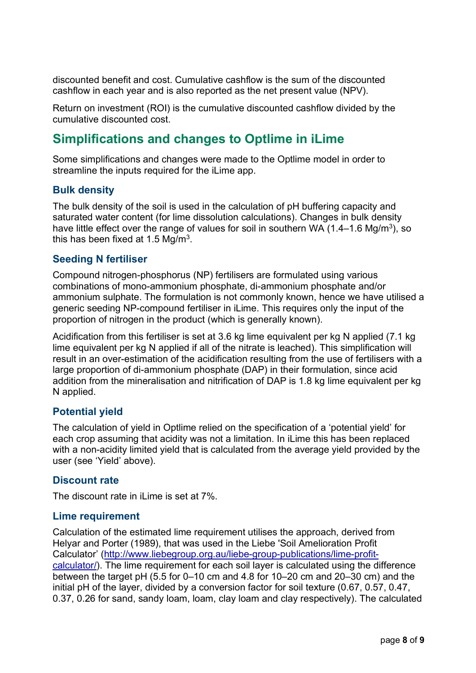discounted benefit and cost. Cumulative cashflow is the sum of the discounted cashflow in each year and is also reported as the net present value (NPV).

Return on investment (ROI) is the cumulative discounted cashflow divided by the cumulative discounted cost.

# **Simplifications and changes to Optlime in iLime**

Some simplifications and changes were made to the Optlime model in order to streamline the inputs required for the iLime app.

### **Bulk density**

The bulk density of the soil is used in the calculation of pH buffering capacity and saturated water content (for lime dissolution calculations). Changes in bulk density have little effect over the range of values for soil in southern WA  $(1.4-1.6 \text{ Mg/m}^3)$ , so this has been fixed at 1.5  $Mq/m<sup>3</sup>$ .

### **Seeding N fertiliser**

Compound nitrogen-phosphorus (NP) fertilisers are formulated using various combinations of mono-ammonium phosphate, di-ammonium phosphate and/or ammonium sulphate. The formulation is not commonly known, hence we have utilised a generic seeding NP-compound fertiliser in iLime. This requires only the input of the proportion of nitrogen in the product (which is generally known).

Acidification from this fertiliser is set at 3.6 kg lime equivalent per kg N applied (7.1 kg lime equivalent per kg N applied if all of the nitrate is leached). This simplification will result in an over-estimation of the acidification resulting from the use of fertilisers with a large proportion of di-ammonium phosphate (DAP) in their formulation, since acid addition from the mineralisation and nitrification of DAP is 1.8 kg lime equivalent per kg N applied.

## **Potential yield**

The calculation of yield in Optlime relied on the specification of a 'potential yield' for each crop assuming that acidity was not a limitation. In iLime this has been replaced with a non-acidity limited yield that is calculated from the average yield provided by the user (see 'Yield' above).

## **Discount rate**

The discount rate in iLime is set at 7%.

#### **Lime requirement**

Calculation of the estimated lime requirement utilises the approach, derived from Helyar and Porter (1989), that was used in the Liebe 'Soil Amelioration Profit Calculator' (http://www.liebegroup.org.au/liebe-group-publications/lime-profitcalculator/). The lime requirement for each soil layer is calculated using the difference between the target pH (5.5 for 0–10 cm and 4.8 for 10–20 cm and 20–30 cm) and the initial pH of the layer, divided by a conversion factor for soil texture (0.67, 0.57, 0.47, 0.37, 0.26 for sand, sandy loam, loam, clay loam and clay respectively). The calculated